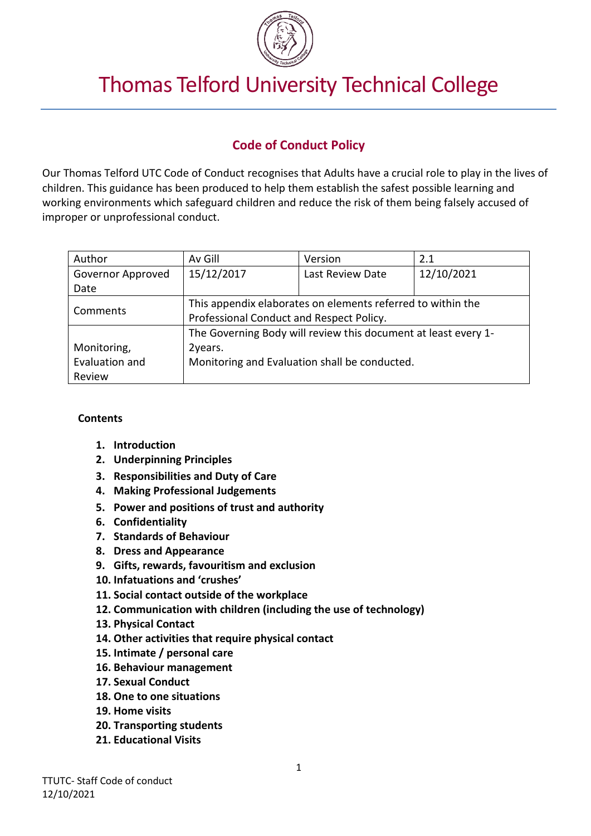

# Thomas Telford University Technical College

# **Code of Conduct Policy**

Our Thomas Telford UTC Code of Conduct recognises that Adults have a crucial role to play in the lives of children. This guidance has been produced to help them establish the safest possible learning and working environments which safeguard children and reduce the risk of them being falsely accused of improper or unprofessional conduct.

| Author            | Av Gill                                                        | Version          | 2.1        |
|-------------------|----------------------------------------------------------------|------------------|------------|
| Governor Approved | 15/12/2017                                                     | Last Review Date | 12/10/2021 |
| Date              |                                                                |                  |            |
| Comments          | This appendix elaborates on elements referred to within the    |                  |            |
|                   | Professional Conduct and Respect Policy.                       |                  |            |
|                   | The Governing Body will review this document at least every 1- |                  |            |
| Monitoring,       | 2years.                                                        |                  |            |
| Evaluation and    | Monitoring and Evaluation shall be conducted.                  |                  |            |
| Review            |                                                                |                  |            |

#### **Contents**

- **1. Introduction**
- **2. Underpinning Principles**
- **3. Responsibilities and Duty of Care**
- **4. Making Professional Judgements**
- **5. Power and positions of trust and authority**
- **6. Confidentiality**
- **7. Standards of Behaviour**
- **8. Dress and Appearance**
- **9. Gifts, rewards, favouritism and exclusion**
- **10. Infatuations and 'crushes'**
- **11. Social contact outside of the workplace**
- **12. Communication with children (including the use of technology)**
- **13. Physical Contact**
- **14. Other activities that require physical contact**
- **15. Intimate / personal care**
- **16. Behaviour management**
- **17. Sexual Conduct**
- **18. One to one situations**
- **19. Home visits**
- **20. Transporting students**
- **21. Educational Visits**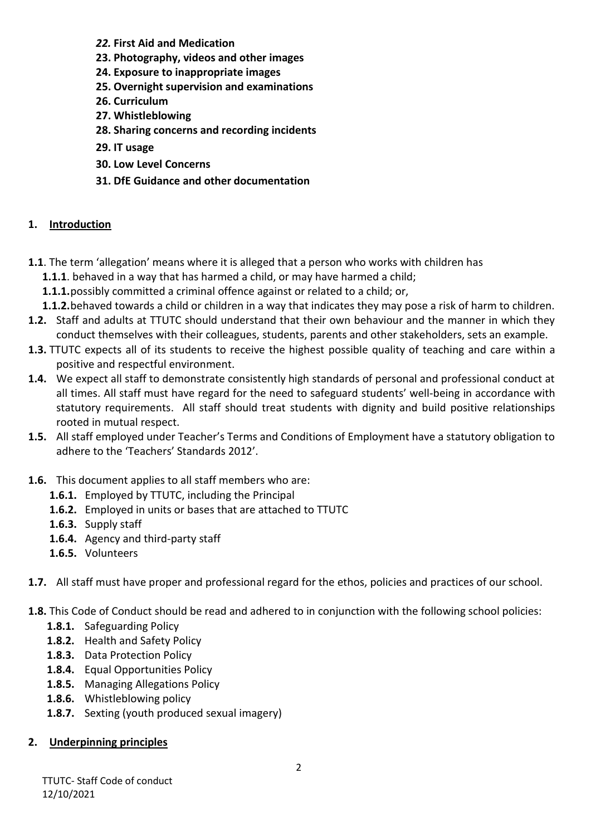- *22.* **First Aid and Medication**
- **23. Photography, videos and other images**
- **24. Exposure to inappropriate images**
- **25. Overnight supervision and examinations**
- **26. Curriculum**
- **27. Whistleblowing**
- **28. Sharing concerns and recording incidents**
- **29. IT usage**
- **30. Low Level Concerns**
- **31. DfE Guidance and other documentation**

#### **1. Introduction**

- **1.1**. The term 'allegation' means where it is alleged that a person who works with children has
	- **1.1.1**. behaved in a way that has harmed a child, or may have harmed a child;
	- **1.1.1.**possibly committed a criminal offence against or related to a child; or,
	- **1.1.2.**behaved towards a child or children in a way that indicates they may pose a risk of harm to children.
- **1.2.** Staff and adults at TTUTC should understand that their own behaviour and the manner in which they conduct themselves with their colleagues, students, parents and other stakeholders, sets an example.
- **1.3.** TTUTC expects all of its students to receive the highest possible quality of teaching and care within a positive and respectful environment.
- **1.4.** We expect all staff to demonstrate consistently high standards of personal and professional conduct at all times. All staff must have regard for the need to safeguard students' well-being in accordance with statutory requirements. All staff should treat students with dignity and build positive relationships rooted in mutual respect.
- **1.5.** All staff employed under Teacher's Terms and Conditions of Employment have a statutory obligation to adhere to the 'Teachers' Standards 2012'.
- **1.6.** This document applies to all staff members who are:
	- **1.6.1.** Employed by TTUTC, including the Principal
	- **1.6.2.** Employed in units or bases that are attached to TTUTC
	- **1.6.3.** Supply staff
	- **1.6.4.** Agency and third-party staff
	- **1.6.5.** Volunteers
- **1.7.** All staff must have proper and professional regard for the ethos, policies and practices of our school.
- **1.8.** This Code of Conduct should be read and adhered to in conjunction with the following school policies:
	- **1.8.1.** Safeguarding Policy
	- **1.8.2.** Health and Safety Policy
	- **1.8.3.** Data Protection Policy
	- **1.8.4.** Equal Opportunities Policy
	- **1.8.5.** Managing Allegations Policy
	- **1.8.6.** Whistleblowing policy
	- **1.8.7.** Sexting (youth produced sexual imagery)

#### **2. Underpinning principles**

TTUTC- Staff Code of conduct 12/10/2021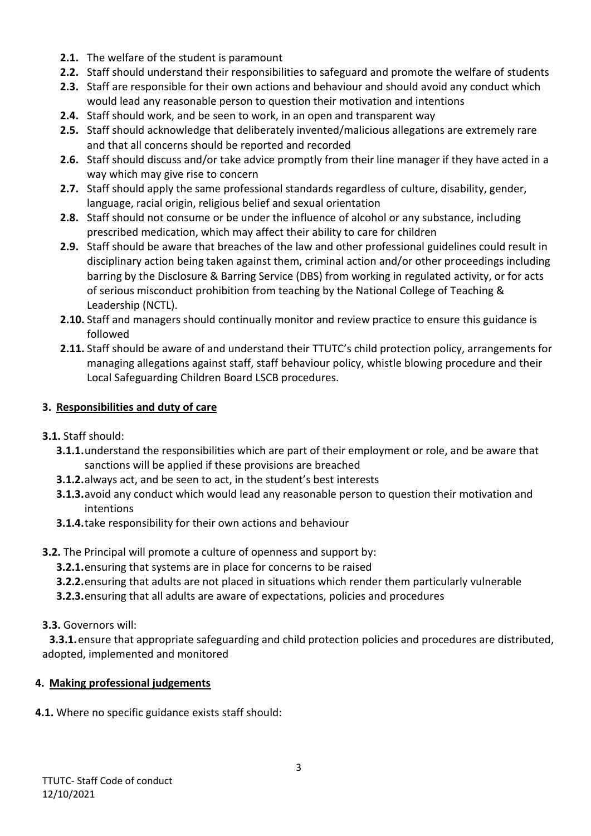- **2.1.** The welfare of the student is paramount
- **2.2.** Staff should understand their responsibilities to safeguard and promote the welfare of students
- **2.3.** Staff are responsible for their own actions and behaviour and should avoid any conduct which would lead any reasonable person to question their motivation and intentions
- **2.4.** Staff should work, and be seen to work, in an open and transparent way
- **2.5.** Staff should acknowledge that deliberately invented/malicious allegations are extremely rare and that all concerns should be reported and recorded
- **2.6.** Staff should discuss and/or take advice promptly from their line manager if they have acted in a way which may give rise to concern
- **2.7.** Staff should apply the same professional standards regardless of culture, disability, gender, language, racial origin, religious belief and sexual orientation
- **2.8.** Staff should not consume or be under the influence of alcohol or any substance, including prescribed medication, which may affect their ability to care for children
- **2.9.** Staff should be aware that breaches of the law and other professional guidelines could result in disciplinary action being taken against them, criminal action and/or other proceedings including barring by the Disclosure & Barring Service (DBS) from working in regulated activity, or for acts of serious misconduct prohibition from teaching by the National College of Teaching & Leadership (NCTL).
- **2.10.** Staff and managers should continually monitor and review practice to ensure this guidance is followed
- **2.11.** Staff should be aware of and understand their TTUTC's child protection policy, arrangements for managing allegations against staff, staff behaviour policy, whistle blowing procedure and their Local Safeguarding Children Board LSCB procedures.

#### **3. Responsibilities and duty of care**

- **3.1.** Staff should:
	- **3.1.1.**understand the responsibilities which are part of their employment or role, and be aware that sanctions will be applied if these provisions are breached
	- **3.1.2.**always act, and be seen to act, in the student's best interests
	- **3.1.3.**avoid any conduct which would lead any reasonable person to question their motivation and intentions
	- **3.1.4.**take responsibility for their own actions and behaviour
- **3.2.** The Principal will promote a culture of openness and support by:
	- **3.2.1.**ensuring that systems are in place for concerns to be raised
	- **3.2.2.**ensuring that adults are not placed in situations which render them particularly vulnerable
	- **3.2.3.**ensuring that all adults are aware of expectations, policies and procedures

#### **3.3.** Governors will:

**3.3.1.**ensure that appropriate safeguarding and child protection policies and procedures are distributed, adopted, implemented and monitored

#### **4. Making professional judgements**

**4.1.** Where no specific guidance exists staff should: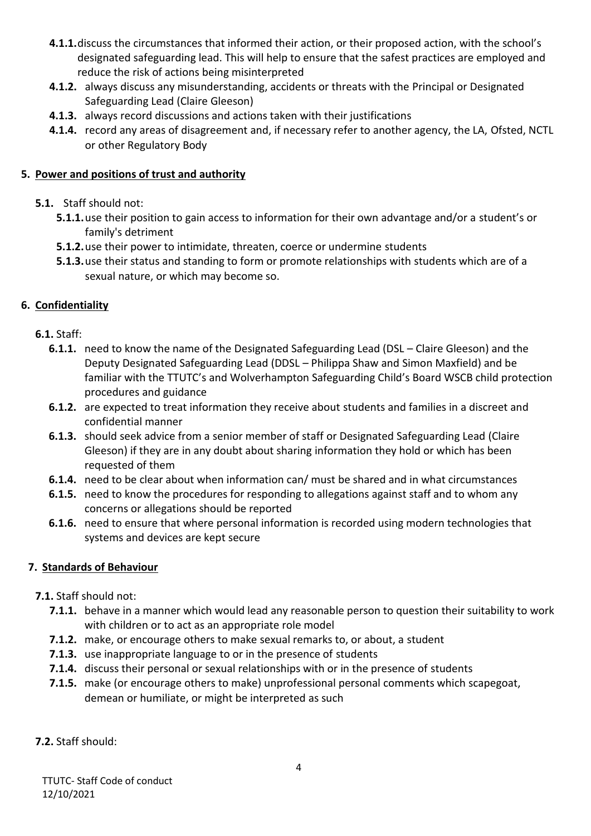- **4.1.1.**discuss the circumstances that informed their action, or their proposed action, with the school's designated safeguarding lead. This will help to ensure that the safest practices are employed and reduce the risk of actions being misinterpreted
- **4.1.2.** always discuss any misunderstanding, accidents or threats with the Principal or Designated Safeguarding Lead (Claire Gleeson)
- **4.1.3.** always record discussions and actions taken with their justifications
- **4.1.4.** record any areas of disagreement and, if necessary refer to another agency, the LA, Ofsted, NCTL or other Regulatory Body

#### **5. Power and positions of trust and authority**

- **5.1.** Staff should not:
	- **5.1.1.**use their position to gain access to information for their own advantage and/or a student's or family's detriment
	- **5.1.2.**use their power to intimidate, threaten, coerce or undermine students
	- **5.1.3.**use their status and standing to form or promote relationships with students which are of a sexual nature, or which may become so.

## **6. Confidentiality**

- **6.1.** Staff:
	- **6.1.1.** need to know the name of the Designated Safeguarding Lead (DSL Claire Gleeson) and the Deputy Designated Safeguarding Lead (DDSL – Philippa Shaw and Simon Maxfield) and be familiar with the TTUTC's and Wolverhampton Safeguarding Child's Board WSCB child protection procedures and guidance
	- **6.1.2.** are expected to treat information they receive about students and families in a discreet and confidential manner
	- **6.1.3.** should seek advice from a senior member of staff or Designated Safeguarding Lead (Claire Gleeson) if they are in any doubt about sharing information they hold or which has been requested of them
	- **6.1.4.** need to be clear about when information can/ must be shared and in what circumstances
	- **6.1.5.** need to know the procedures for responding to allegations against staff and to whom any concerns or allegations should be reported
	- **6.1.6.** need to ensure that where personal information is recorded using modern technologies that systems and devices are kept secure

## **7. Standards of Behaviour**

## **7.1.** Staff should not:

- **7.1.1.** behave in a manner which would lead any reasonable person to question their suitability to work with children or to act as an appropriate role model
- **7.1.2.** make, or encourage others to make sexual remarks to, or about, a student
- **7.1.3.** use inappropriate language to or in the presence of students
- **7.1.4.** discuss their personal or sexual relationships with or in the presence of students
- **7.1.5.** make (or encourage others to make) unprofessional personal comments which scapegoat, demean or humiliate, or might be interpreted as such
- **7.2.** Staff should: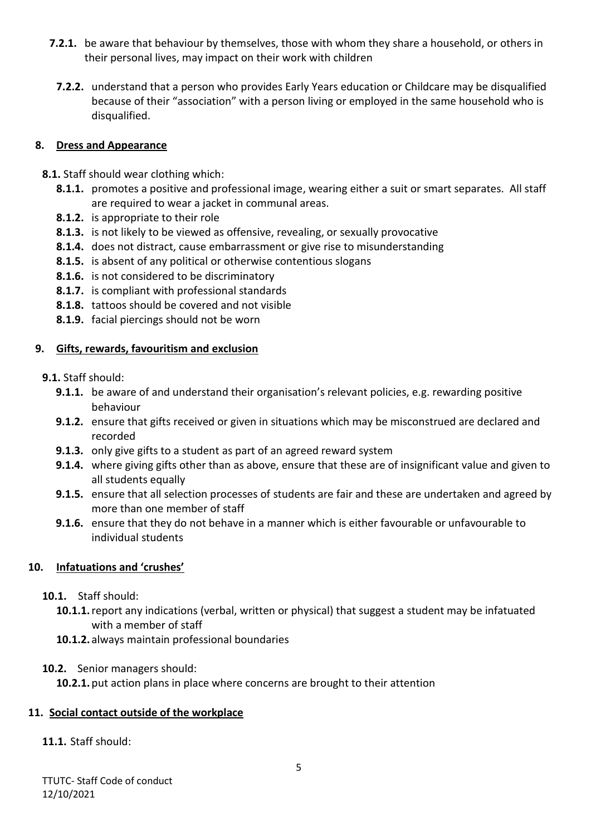- **7.2.1.** be aware that behaviour by themselves, those with whom they share a household, or others in their personal lives, may impact on their work with children
	- **7.2.2.** understand that a person who provides Early Years education or Childcare may be disqualified because of their "association" with a person living or employed in the same household who is disqualified.

#### **8. Dress and Appearance**

- **8.1.** Staff should wear clothing which:
	- **8.1.1.** promotes a positive and professional image, wearing either a suit or smart separates. All staff are required to wear a jacket in communal areas.
	- **8.1.2.** is appropriate to their role
	- **8.1.3.** is not likely to be viewed as offensive, revealing, or sexually provocative
	- **8.1.4.** does not distract, cause embarrassment or give rise to misunderstanding
	- **8.1.5.** is absent of any political or otherwise contentious slogans
	- **8.1.6.** is not considered to be discriminatory
	- **8.1.7.** is compliant with professional standards
	- **8.1.8.** tattoos should be covered and not visible
	- **8.1.9.** facial piercings should not be worn

#### **9. Gifts, rewards, favouritism and exclusion**

- **9.1.** Staff should:
	- **9.1.1.** be aware of and understand their organisation's relevant policies, e.g. rewarding positive behaviour
	- **9.1.2.** ensure that gifts received or given in situations which may be misconstrued are declared and recorded
	- **9.1.3.** only give gifts to a student as part of an agreed reward system
	- **9.1.4.** where giving gifts other than as above, ensure that these are of insignificant value and given to all students equally
	- **9.1.5.** ensure that all selection processes of students are fair and these are undertaken and agreed by more than one member of staff
	- **9.1.6.** ensure that they do not behave in a manner which is either favourable or unfavourable to individual students

## **10. Infatuations and 'crushes'**

#### **10.1.** Staff should:

- **10.1.1.**report any indications (verbal, written or physical) that suggest a student may be infatuated with a member of staff
- **10.1.2.** always maintain professional boundaries
- **10.2.** Senior managers should:

**10.2.1.**put action plans in place where concerns are brought to their attention

## **11. Social contact outside of the workplace**

## **11.1.** Staff should: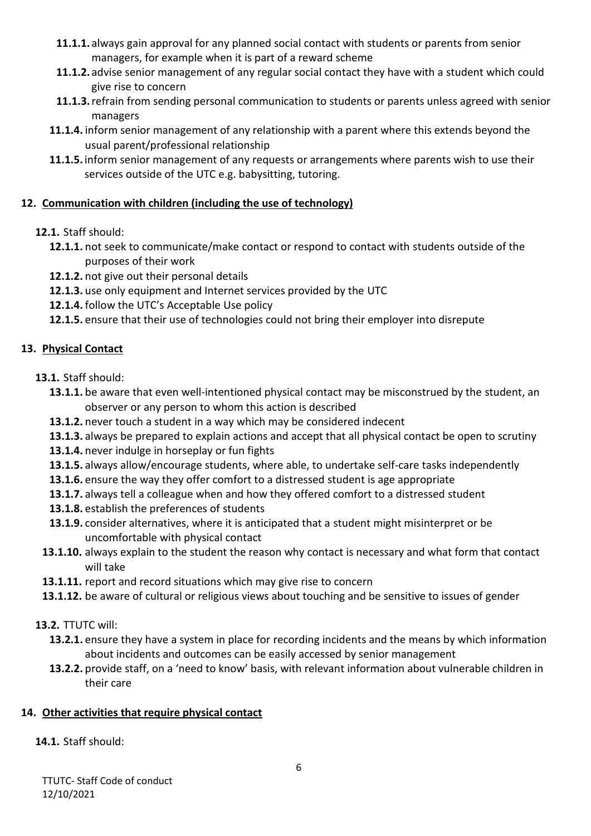- **11.1.1.** always gain approval for any planned social contact with students or parents from senior managers, for example when it is part of a reward scheme
- **11.1.2.** advise senior management of any regular social contact they have with a student which could give rise to concern
- **11.1.3.**refrain from sending personal communication to students or parents unless agreed with senior managers
- **11.1.4.** inform senior management of any relationship with a parent where this extends beyond the usual parent/professional relationship
- **11.1.5.**inform senior management of any requests or arrangements where parents wish to use their services outside of the UTC e.g. babysitting, tutoring.

## **12. Communication with children (including the use of technology)**

## **12.1.** Staff should:

- **12.1.1.** not seek to communicate/make contact or respond to contact with students outside of the purposes of their work
- **12.1.2.** not give out their personal details
- **12.1.3.** use only equipment and Internet services provided by the UTC
- **12.1.4.** follow the UTC's Acceptable Use policy
- **12.1.5.** ensure that their use of technologies could not bring their employer into disrepute

## **13. Physical Contact**

- **13.1.** Staff should:
	- **13.1.1.** be aware that even well-intentioned physical contact may be misconstrued by the student, an observer or any person to whom this action is described
	- **13.1.2.** never touch a student in a way which may be considered indecent
	- **13.1.3.** always be prepared to explain actions and accept that all physical contact be open to scrutiny
	- **13.1.4.** never indulge in horseplay or fun fights
	- **13.1.5.** always allow/encourage students, where able, to undertake self-care tasks independently
	- **13.1.6.** ensure the way they offer comfort to a distressed student is age appropriate
	- **13.1.7.** always tell a colleague when and how they offered comfort to a distressed student
	- **13.1.8.** establish the preferences of students
	- **13.1.9.** consider alternatives, where it is anticipated that a student might misinterpret or be uncomfortable with physical contact
	- **13.1.10.** always explain to the student the reason why contact is necessary and what form that contact will take
	- **13.1.11.** report and record situations which may give rise to concern
	- **13.1.12.** be aware of cultural or religious views about touching and be sensitive to issues of gender
- **13.2.** TTUTC will:
	- **13.2.1.** ensure they have a system in place for recording incidents and the means by which information about incidents and outcomes can be easily accessed by senior management
	- **13.2.2.** provide staff, on a 'need to know' basis, with relevant information about vulnerable children in their care

## **14. Other activities that require physical contact**

## **14.1.** Staff should: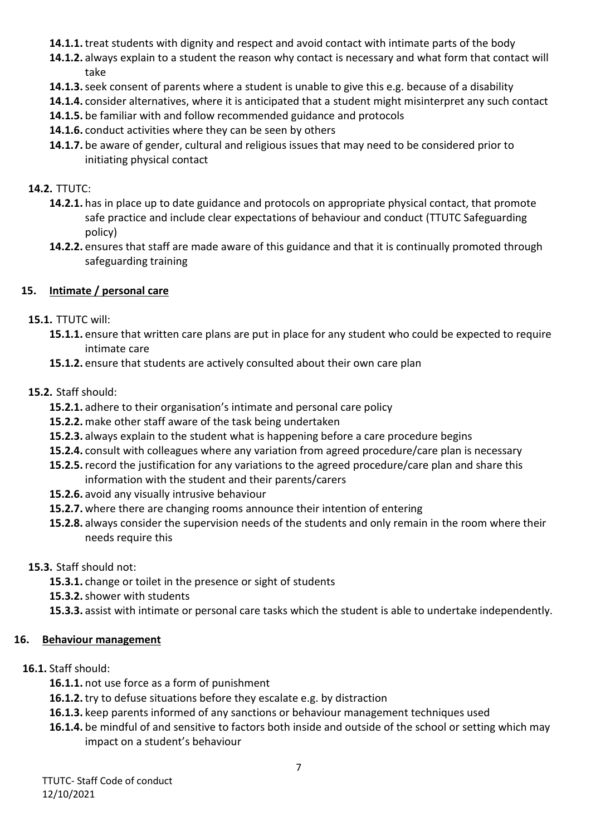- **14.1.1.** treat students with dignity and respect and avoid contact with intimate parts of the body
- **14.1.2.** always explain to a student the reason why contact is necessary and what form that contact will take
- **14.1.3.**seek consent of parents where a student is unable to give this e.g. because of a disability
- **14.1.4.** consider alternatives, where it is anticipated that a student might misinterpret any such contact
- **14.1.5.** be familiar with and follow recommended guidance and protocols
- **14.1.6.** conduct activities where they can be seen by others
- **14.1.7.** be aware of gender, cultural and religious issues that may need to be considered prior to initiating physical contact

## **14.2.** TTUTC:

- **14.2.1.** has in place up to date guidance and protocols on appropriate physical contact, that promote safe practice and include clear expectations of behaviour and conduct (TTUTC Safeguarding policy)
- **14.2.2.** ensures that staff are made aware of this guidance and that it is continually promoted through safeguarding training

## **15. Intimate / personal care**

## **15.1.** TTUTC will:

- **15.1.1.** ensure that written care plans are put in place for any student who could be expected to require intimate care
- **15.1.2.** ensure that students are actively consulted about their own care plan

## **15.2.** Staff should:

- **15.2.1.** adhere to their organisation's intimate and personal care policy
- **15.2.2.** make other staff aware of the task being undertaken
- **15.2.3.** always explain to the student what is happening before a care procedure begins
- **15.2.4.** consult with colleagues where any variation from agreed procedure/care plan is necessary
- **15.2.5.**record the justification for any variations to the agreed procedure/care plan and share this information with the student and their parents/carers
- **15.2.6.** avoid any visually intrusive behaviour
- **15.2.7.** where there are changing rooms announce their intention of entering
- **15.2.8.** always consider the supervision needs of the students and only remain in the room where their needs require this

## **15.3.** Staff should not:

- **15.3.1.** change or toilet in the presence or sight of students
- **15.3.2.**shower with students
- **15.3.3.** assist with intimate or personal care tasks which the student is able to undertake independently.

## **16. Behaviour management**

## **16.1.** Staff should:

- **16.1.1.** not use force as a form of punishment
- **16.1.2.** try to defuse situations before they escalate e.g. by distraction
- **16.1.3.** keep parents informed of any sanctions or behaviour management techniques used
- **16.1.4.** be mindful of and sensitive to factors both inside and outside of the school or setting which may impact on a student's behaviour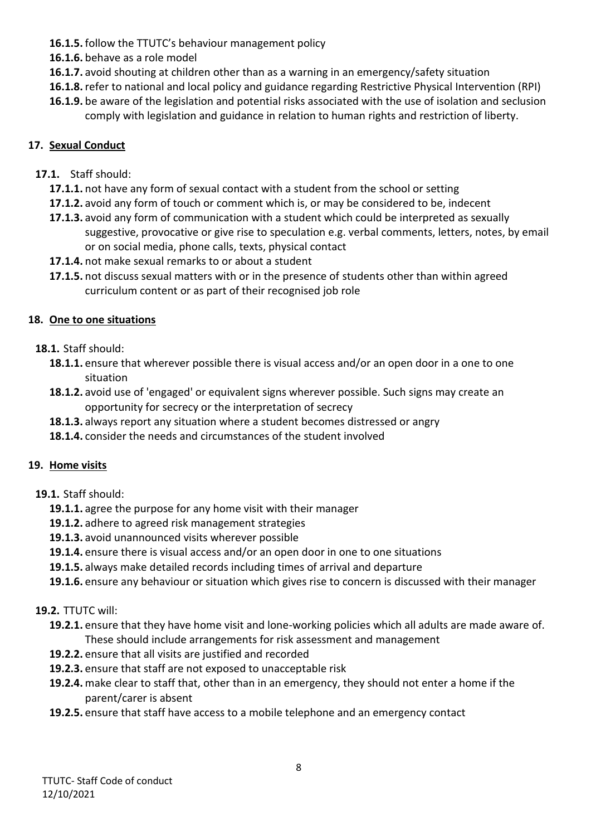- **16.1.5.** follow the TTUTC's behaviour management policy
- **16.1.6.** behave as a role model
- **16.1.7.** avoid shouting at children other than as a warning in an emergency/safety situation
- **16.1.8.**refer to national and local policy and guidance regarding Restrictive Physical Intervention (RPI)
- **16.1.9.** be aware of the legislation and potential risks associated with the use of isolation and seclusion comply with legislation and guidance in relation to human rights and restriction of liberty.

## **17. Sexual Conduct**

## **17.1.** Staff should:

- **17.1.1.** not have any form of sexual contact with a student from the school or setting
- **17.1.2.** avoid any form of touch or comment which is, or may be considered to be, indecent
- **17.1.3.** avoid any form of communication with a student which could be interpreted as sexually suggestive, provocative or give rise to speculation e.g. verbal comments, letters, notes, by email or on social media, phone calls, texts, physical contact
- **17.1.4.** not make sexual remarks to or about a student
- **17.1.5.** not discuss sexual matters with or in the presence of students other than within agreed curriculum content or as part of their recognised job role

## **18. One to one situations**

- **18.1.** Staff should:
	- **18.1.1.** ensure that wherever possible there is visual access and/or an open door in a one to one situation
	- **18.1.2.** avoid use of 'engaged' or equivalent signs wherever possible. Such signs may create an opportunity for secrecy or the interpretation of secrecy
	- **18.1.3.** always report any situation where a student becomes distressed or angry
	- **18.1.4.** consider the needs and circumstances of the student involved

## **19. Home visits**

- **19.1.** Staff should:
	- **19.1.1.** agree the purpose for any home visit with their manager
	- **19.1.2.** adhere to agreed risk management strategies
	- **19.1.3.** avoid unannounced visits wherever possible
	- **19.1.4.** ensure there is visual access and/or an open door in one to one situations
	- **19.1.5.** always make detailed records including times of arrival and departure
	- **19.1.6.** ensure any behaviour or situation which gives rise to concern is discussed with their manager

## **19.2.** TTUTC will:

- **19.2.1.** ensure that they have home visit and lone-working policies which all adults are made aware of. These should include arrangements for risk assessment and management
- **19.2.2.** ensure that all visits are justified and recorded
- **19.2.3.** ensure that staff are not exposed to unacceptable risk
- **19.2.4.** make clear to staff that, other than in an emergency, they should not enter a home if the parent/carer is absent
- **19.2.5.** ensure that staff have access to a mobile telephone and an emergency contact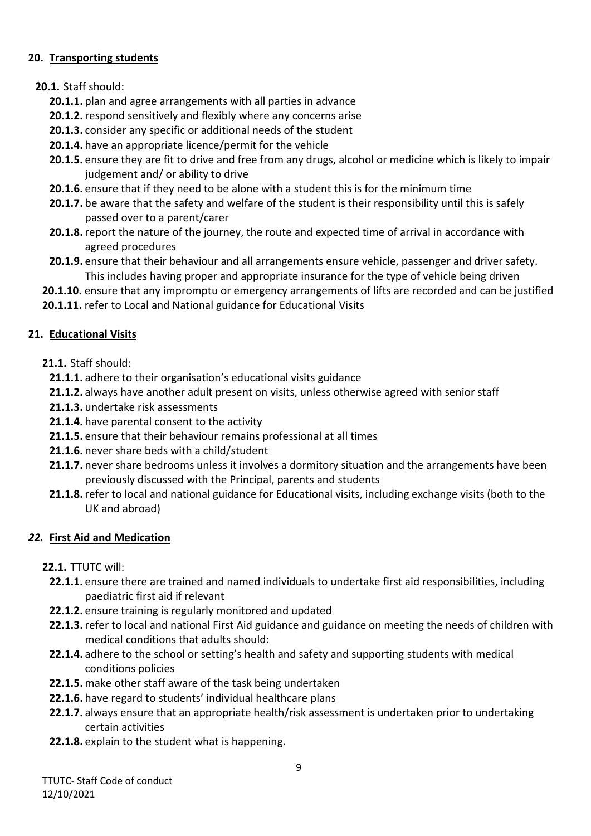#### **20. Transporting students**

#### **20.1.** Staff should:

- **20.1.1.** plan and agree arrangements with all parties in advance
- **20.1.2.**respond sensitively and flexibly where any concerns arise
- **20.1.3.** consider any specific or additional needs of the student
- **20.1.4.** have an appropriate licence/permit for the vehicle
- **20.1.5.** ensure they are fit to drive and free from any drugs, alcohol or medicine which is likely to impair judgement and/ or ability to drive
- **20.1.6.** ensure that if they need to be alone with a student this is for the minimum time
- **20.1.7.** be aware that the safety and welfare of the student is their responsibility until this is safely passed over to a parent/carer
- **20.1.8.**report the nature of the journey, the route and expected time of arrival in accordance with agreed procedures
- **20.1.9.** ensure that their behaviour and all arrangements ensure vehicle, passenger and driver safety. This includes having proper and appropriate insurance for the type of vehicle being driven
- **20.1.10.** ensure that any impromptu or emergency arrangements of lifts are recorded and can be justified
- **20.1.11.** refer to Local and National guidance for Educational Visits

#### **21. Educational Visits**

- **21.1.** Staff should:
	- **21.1.1.** adhere to their organisation's educational visits guidance
	- **21.1.2.** always have another adult present on visits, unless otherwise agreed with senior staff
	- **21.1.3.** undertake risk assessments
	- **21.1.4.** have parental consent to the activity
	- **21.1.5.** ensure that their behaviour remains professional at all times
	- **21.1.6.** never share beds with a child/student
	- **21.1.7.** never share bedrooms unless it involves a dormitory situation and the arrangements have been previously discussed with the Principal, parents and students
	- **21.1.8.**refer to local and national guidance for Educational visits, including exchange visits (both to the UK and abroad)

## *22.* **First Aid and Medication**

#### **22.1.** TTUTC will:

- **22.1.1.** ensure there are trained and named individuals to undertake first aid responsibilities, including paediatric first aid if relevant
- **22.1.2.** ensure training is regularly monitored and updated
- **22.1.3.**refer to local and national First Aid guidance and guidance on meeting the needs of children with medical conditions that adults should:
- **22.1.4.** adhere to the school or setting's health and safety and supporting students with medical conditions policies
- **22.1.5.** make other staff aware of the task being undertaken
- **22.1.6.** have regard to students' individual healthcare plans
- **22.1.7.** always ensure that an appropriate health/risk assessment is undertaken prior to undertaking certain activities
- **22.1.8.** explain to the student what is happening.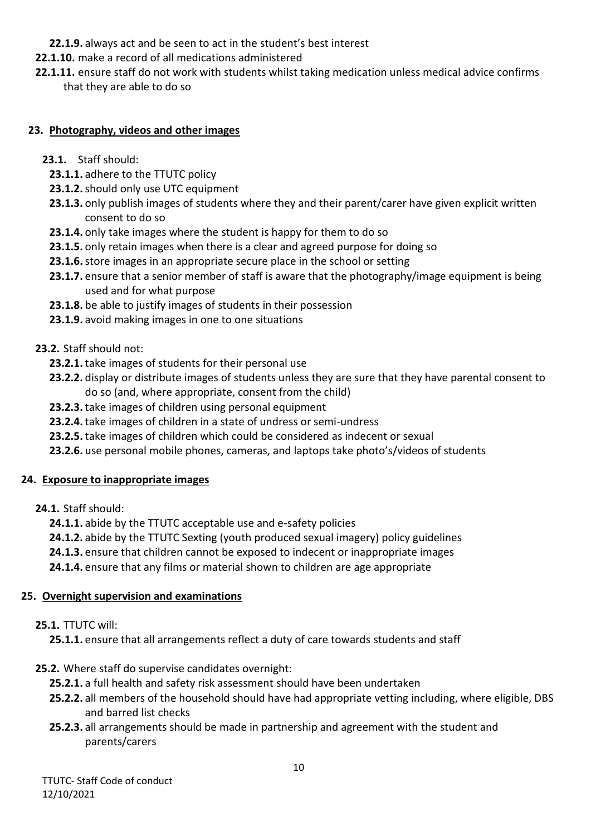- **22.1.9.** always act and be seen to act in the student's best interest
- **22.1.10.** make a record of all medications administered
- **22.1.11.** ensure staff do not work with students whilst taking medication unless medical advice confirms that they are able to do so

#### **23. Photography, videos and other images**

- **23.1.** Staff should:
	- **23.1.1.** adhere to the TTUTC policy
	- **23.1.2.**should only use UTC equipment
	- **23.1.3.** only publish images of students where they and their parent/carer have given explicit written consent to do so
	- **23.1.4.** only take images where the student is happy for them to do so
	- **23.1.5.** only retain images when there is a clear and agreed purpose for doing so
	- **23.1.6.**store images in an appropriate secure place in the school or setting
	- **23.1.7.** ensure that a senior member of staff is aware that the photography/image equipment is being used and for what purpose
	- **23.1.8.** be able to justify images of students in their possession
	- **23.1.9.** avoid making images in one to one situations

#### **23.2.** Staff should not:

- **23.2.1.** take images of students for their personal use
- **23.2.2.** display or distribute images of students unless they are sure that they have parental consent to do so (and, where appropriate, consent from the child)
- **23.2.3.** take images of children using personal equipment
- **23.2.4.** take images of children in a state of undress or semi-undress
- **23.2.5.** take images of children which could be considered as indecent or sexual
- **23.2.6.** use personal mobile phones, cameras, and laptops take photo's/videos of students

#### **24. Exposure to inappropriate images**

**24.1.** Staff should:

**24.1.1.** abide by the TTUTC acceptable use and e-safety policies

- **24.1.2.** abide by the TTUTC Sexting (youth produced sexual imagery) policy guidelines
- **24.1.3.** ensure that children cannot be exposed to indecent or inappropriate images
- **24.1.4.** ensure that any films or material shown to children are age appropriate

#### **25. Overnight supervision and examinations**

#### **25.1.** TTUTC will:

**25.1.1.** ensure that all arrangements reflect a duty of care towards students and staff

- **25.2.** Where staff do supervise candidates overnight:
	- **25.2.1.** a full health and safety risk assessment should have been undertaken
	- **25.2.2.** all members of the household should have had appropriate vetting including, where eligible, DBS and barred list checks
	- **25.2.3.** all arrangements should be made in partnership and agreement with the student and parents/carers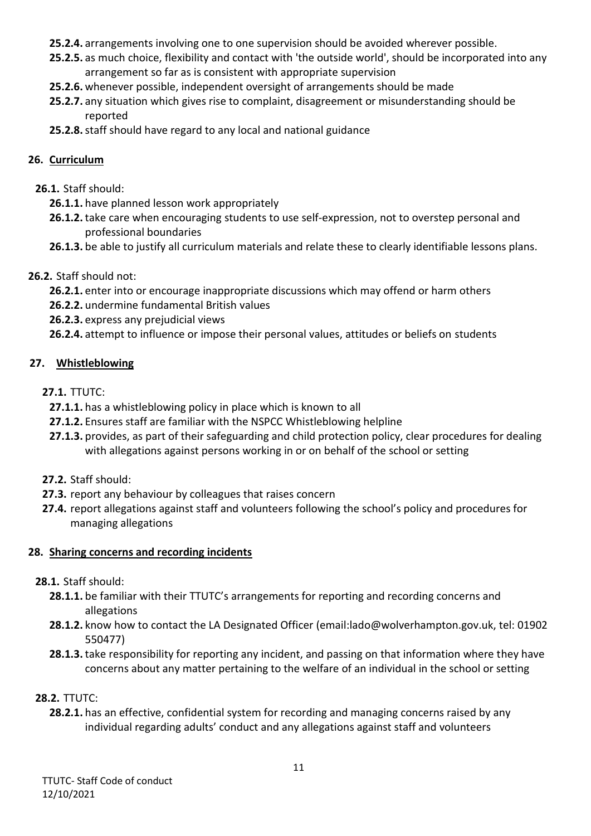- **25.2.4.** arrangements involving one to one supervision should be avoided wherever possible.
- **25.2.5.** as much choice, flexibility and contact with 'the outside world', should be incorporated into any arrangement so far as is consistent with appropriate supervision
- **25.2.6.** whenever possible, independent oversight of arrangements should be made
- **25.2.7.** any situation which gives rise to complaint, disagreement or misunderstanding should be reported
- **25.2.8.**staff should have regard to any local and national guidance

#### **26. Curriculum**

#### **26.1.** Staff should:

- **26.1.1.** have planned lesson work appropriately
- **26.1.2.** take care when encouraging students to use self-expression, not to overstep personal and professional boundaries
- **26.1.3.** be able to justify all curriculum materials and relate these to clearly identifiable lessons plans.

## **26.2.** Staff should not:

- **26.2.1.** enter into or encourage inappropriate discussions which may offend or harm others
- **26.2.2.** undermine fundamental British values
- **26.2.3.** express any prejudicial views
- **26.2.4.** attempt to influence or impose their personal values, attitudes or beliefs on students

## **27. Whistleblowing**

#### **27.1.** TTUTC:

- **27.1.1.** has a whistleblowing policy in place which is known to all
- **27.1.2.** Ensures staff are familiar with the NSPCC Whistleblowing helpline
- **27.1.3.** provides, as part of their safeguarding and child protection policy, clear procedures for dealing with allegations against persons working in or on behalf of the school or setting

## **27.2.** Staff should:

- **27.3.** report any behaviour by colleagues that raises concern
- **27.4.** report allegations against staff and volunteers following the school's policy and procedures for managing allegations

## **28. Sharing concerns and recording incidents**

## **28.1.** Staff should:

- **28.1.1.** be familiar with their TTUTC's arrangements for reporting and recording concerns and allegations
- **28.1.2.** know how to contact the LA Designated Officer (email:lado@wolverhampton.gov.uk, tel: 01902 550477)
- **28.1.3.** take responsibility for reporting any incident, and passing on that information where they have concerns about any matter pertaining to the welfare of an individual in the school or setting

## **28.2.** TTUTC:

**28.2.1.** has an effective, confidential system for recording and managing concerns raised by any individual regarding adults' conduct and any allegations against staff and volunteers